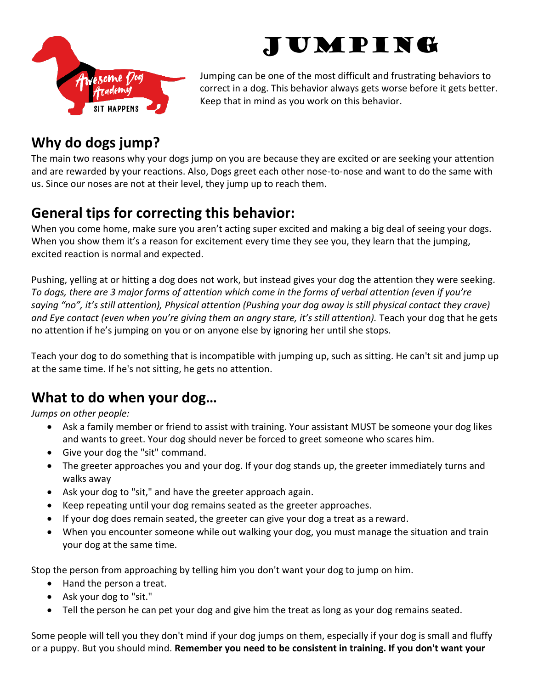



Jumping can be one of the most difficult and frustrating behaviors to correct in a dog. This behavior always gets worse before it gets better. Keep that in mind as you work on this behavior.

## **Why do dogs jump?**

The main two reasons why your dogs jump on you are because they are excited or are seeking your attention and are rewarded by your reactions. Also, Dogs greet each other nose-to-nose and want to do the same with us. Since our noses are not at their level, they jump up to reach them.

## **General tips for correcting this behavior:**

When you come home, make sure you aren't acting super excited and making a big deal of seeing your dogs. When you show them it's a reason for excitement every time they see you, they learn that the jumping, excited reaction is normal and expected.

Pushing, yelling at or hitting a dog does not work, but instead gives your dog the attention they were seeking*. To dogs, there are 3 major forms of attention which come in the forms of verbal attention (even if you're saying "no", it's still attention), Physical attention (Pushing your dog away is still physical contact they crave)*  and Eye contact (even when you're giving them an angry stare, it's still attention). Teach your dog that he gets no attention if he's jumping on you or on anyone else by ignoring her until she stops.

Teach your dog to do something that is incompatible with jumping up, such as sitting. He can't sit and jump up at the same time. If he's not sitting, he gets no attention.

## **What to do when your dog…**

*Jumps on other people:* 

- Ask a family member or friend to assist with training. Your assistant MUST be someone your dog likes and wants to greet. Your dog should never be forced to greet someone who scares him.
- Give your dog the "sit" command.
- The greeter approaches you and your dog. If your dog stands up, the greeter immediately turns and walks away
- Ask your dog to "sit," and have the greeter approach again.
- Keep repeating until your dog remains seated as the greeter approaches.
- If your dog does remain seated, the greeter can give your dog a treat as a reward.
- When you encounter someone while out walking your dog, you must manage the situation and train your dog at the same time.

Stop the person from approaching by telling him you don't want your dog to jump on him.

- Hand the person a treat.
- Ask your dog to "sit."
- Tell the person he can pet your dog and give him the treat as long as your dog remains seated.

Some people will tell you they don't mind if your dog jumps on them, especially if your dog is small and fluffy or a puppy. But you should mind. **Remember you need to be consistent in training. If you don't want your**